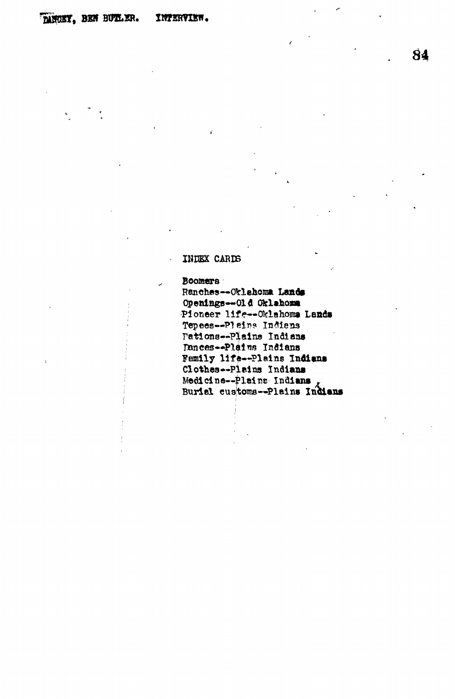## **IBEEX CARDS**

**Boomers**

Ranches--Orlahoma Lands **Openings—Old Oklahoma Pioneer life— Oklahoma Lands Tepees—PI 6ir?? Indians rations—Plains Indiana** Donces--Plains Indians **Family life—Plains Indians Clothes•-Plains Indians Medicine—Plains Indians \* Burial custorcs—Plains Indiana**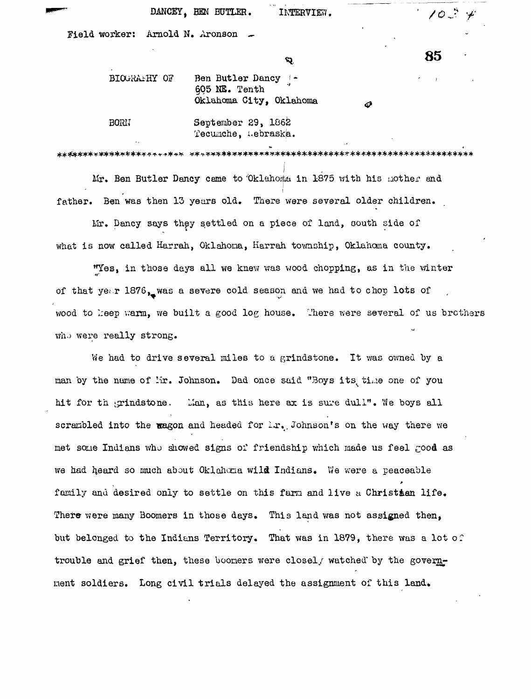| DANCEY, BEN BUTLER. | INTERVIEW. | $\rightarrow$ 10 $\stackrel{.}{.}$ |
|---------------------|------------|------------------------------------|
|---------------------|------------|------------------------------------|

Field worker: Arnold N. Aronson

 $\alpha$  85

| BIOGRAPHY OF | Ben Butler Dancy  -<br>605 NE. Tenth<br>Oklahoma City, Oklahoma |  |  |
|--------------|-----------------------------------------------------------------|--|--|
| <b>BORN</b>  | September 29, 1862<br>Tecumche, Lebraska.                       |  |  |

**I** Air. Ben Butler Dancy came to 'Oklahoma in 1875 with his uother and father. Ben was then 13 years old. There were several older children. father. Ben was then 13 years old. There were several older children.

Mr. Dancy says they settled on a piece of land, couth side of where is now called Harrah,  $\mathcal{L} = \mathcal{L}$ , Oklahoma,  $\mathcal{L} = \mathcal{L}$ , Oklahoma, Oklahoma county.

"Yes, in those days all we knew was wood chopping, as in the winter of that ye;.r 1876, was a severe cold season and we had to chop lots of wood to keep warm, we built a good log house. There were several of us brothers wood to I;eep v.'arm, we built a good log house,  $\mathcal{A}$ 

 $W_{\rm eff}$  to drive several lines to a grind to a grind to a grind by a grind by a grindstone. In the several lines of  $W_{\rm eff}$ hit for the training term in the training term in the sure during term in the sure during  $\alpha$  is sure during the sure during term in the sure during term in the sure during term in the sure during term in the sure during met some Indians who showed signs of friendship which made us feel good as we had higher so much about Oklahoma wild Indians. Variables wild Indians. Variables wild indians. Variables wild Indians. Variables wild Indians. Variables wild Indians. Variables wild indians. Variables wild indians. Va There were many Boomers in those days. This land was not assigned then, There were many  $B_{\rm B}$  in those days. This land was not assigned that  $\Delta$  is land was not assigned then, then, then, then, then, then, then, then, then, then, then, then, then, then, then, then, then, then, then, then, but belonged to the Indians Territory. That was in 1879, there was a lot of trouble and grief then, these boomers were closel, watched by the governtrouble and grief then, then, then, then, then, then, then, then, the governance closel  $\mathcal{M}$  by the governance construction  $\mathcal{M}$ ment soldiers. Long civil trials delayed the assignment of this land.

nent soldiers. Long civi l trials delayed the assignment of this land\*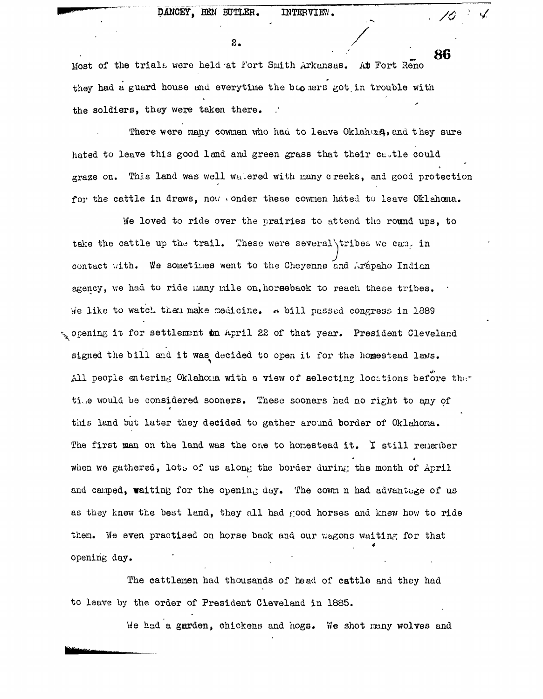$2.$ 

the soldiers, they were taken they were taken they were

**At** Fort Reno 86 Most of the trials were held at Fort Smith Arkansas. Most of the trials were held-at Fort Smith Arkansas. At Fort Reno they had a guard house and everytime the boo mers got in trouble with they had a guard house and everytime the because and everytime the because  $\mathcal{L}_{\mathcal{A}}$ the soldiers, they were taken there.

There were many cownen who had to leave OklahorA, and they sure There were many comments were many comments who had to leave  $\mathcal{O}_{\mathcal{A}}$  to leave  $\mathcal{A}$ hated to leave this good land and green grass that their castle could  $\mathcal{A}$ graze on. This land was well watered with many creeks, and good protection graze on. This land was well wurden was well wurden was well wurden with nany creeks, and good protection of p<br>This land was well with name of the creeks, and good protection of the creeks, and good protection of the cree for the cattle in draws, now wonder these cowmen hated to leave Oklahoma.

We loved to ride over the prairies to attend the round ups, to take the cattle up the trail. These were several \tribes we can. in  $\frac{1}{\sqrt{2\pi}}$ contact with. We sometimes went to the Cheyenne and Arapaho Indian agency, we had to ride many nile on, horseback to reach these tribes. agency, we had to ride many mile on, to ride many miles on, to reach these tribes. These tribes. These tribes. We like to watch then make medicine. A bill passed congress in 1889 iie like to watch then make medicine. #• bill passed congress in 1389 opening it for settlement on April 22 of that year. President Cleveland  $\mathcal{N}$  is for settlenent to. Application to. Application to. Application to. Application  $\mathcal{N}$ signed the bill and it was decided to open it for the homestead laws. signed the bill and it was decided to open it for the hosestead lavs. The hosestead lavs. The hosestead lavs. All people entering Oklahoma with a view of selecting locations before the ti.ie would be considered soon as  $\ell$  soon as  $\ell$  soon as  $\ell$  soon as  $\ell$  soonars had no right to any of  $\ell$ this land but later they decided to gather around border of Oklahoma. The first man on the land was the one to homestead it. I still remember when we gathered, lots of us along the border during the month of April and camped, waiting for the opening day. The cown n had advantage of us as they knew the best land, they all had good horses and knew how to ride them. We even practised on horse back and our wagons waiting for that opening day.

The cattlemen had thousands of head of cattle and they had to leave by the order of President Cleveland in 1885.

We had a garden, chickens and hogs. We shot many wolves and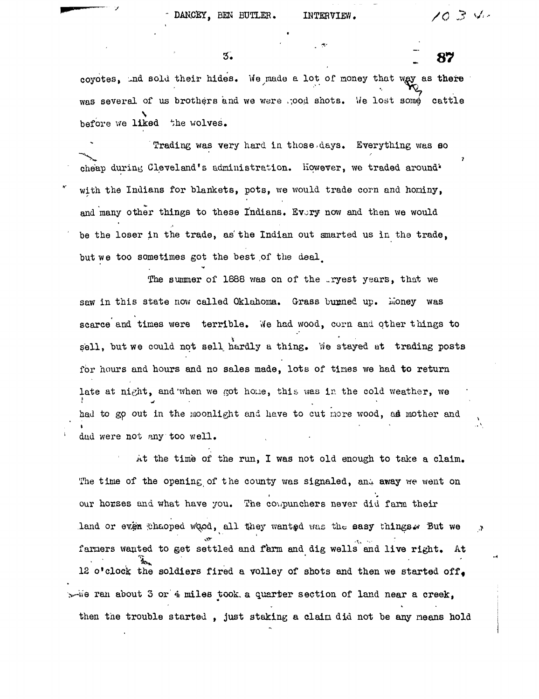87

 $\overline{3}$ .

covotes. Ind sold their hides. We made a lot of money that way as there was several of us brothers and we were .; ood shots. We lost some cattle before we liked the wolves.

t

Trading was very hard in those,days. Everything was eo cheap during Cleveland's administration. However, we traded around\* with the Indians for blankets, pots, we would trade corn and honiny, and many other things to these Indians. Every now and then we would be the loser in the trade, as the Indian out smarted us in the trade, but we too sometimes got the best of the deal.

The summer of 1888 was on of the ryest years, that we saw in this state now called Oklahoma. Grass burned up. Money was scarce and times were terrible. We had wood, corn and other things to sell, but we could not sell hardly a thing. We stayed at trading posts for hours and hours and no sales made, lots of times we had to return late at night, and when we got houe, this was in the cold weather, we had to go out in the moonlight and have to cut nore wood, ad mother and dad were not any too well.

At the time of the run, I was not old enough to take a claim. The time of the opening of the county was signaled, and away we went on our horses and what have you. The compunchers never did farm their land or even thaoped wood, all they wanted was the easy things. But we  $\ddot{.}$ fanners wanted to get settled and farm and dig wells and live right. At 12 o'clock the soldiers fired a volley of shots and then we started off.  $x$ -ne ran about 3 or 4 miles took, a quarter section of land near a creek, then the trouble started , just staking a claim did not be any neans hold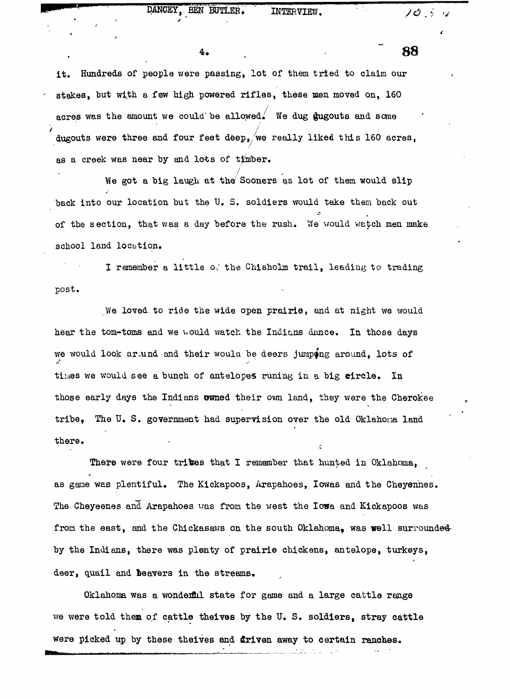## DANCEY, BEN BUTLER. INTERVIEW,  $\sqrt{2}$  iv

f

it. Hundreds of people were passing, lot of them tried to claim our stakes, but with a few high powered rifles, these men moved on, 160 acres was the amount we could be allowed. We dug gugouts and some  $'$  ducouts ware three and four feat door  $\sqrt{wc}$ dugouts were the four feet deep, we really like deep, we really like discussed the  $\frac{1}{\sqrt{2}}$ as a creek was near by and lots of timber.

 $\sqrt{2}$ We got a big laugh at the Sooners as lot of them would slip back into our location but the U. S. soldiers would take them back out of the section, that was a day before the rush. We would watch men make school land location.

I remember a little od the Chisholm trail, leading to trading post.

We loved to ride the wide open prairie, and at night we would hear the tom-toms and we would watch the Indians dance. In those days we would look arund and their woula be deers jumping around, lots of times we would see a bunch of antelopes runing in a big circle. In those early days the Indians owned their own land, they were the Cherokee tribe, The U. S. government had supervision over the old Oklahoma land there.

There were four trives that I remember that hunted in Oklahoma, as game was plentiful. The Kickapoos, Arapahoes, Iowas and the Cheyennes. The Cheyeenes and Arapahoes was from the west the Iowa and Kickapoos was from the east, and the Chickasaws on the south Oklahoma, was well surrounded by the Indians, there was plenty of prairie chickens, antelope, turkeys, deer, quail and beavers in the streams.

Oklahoma was a wondenflil state for game and a large cattle range we were told then of cattle theives by the U. S. soldiers, stray cattle were picked up by these theives and driven away to certain ranches.

**4. "8 8**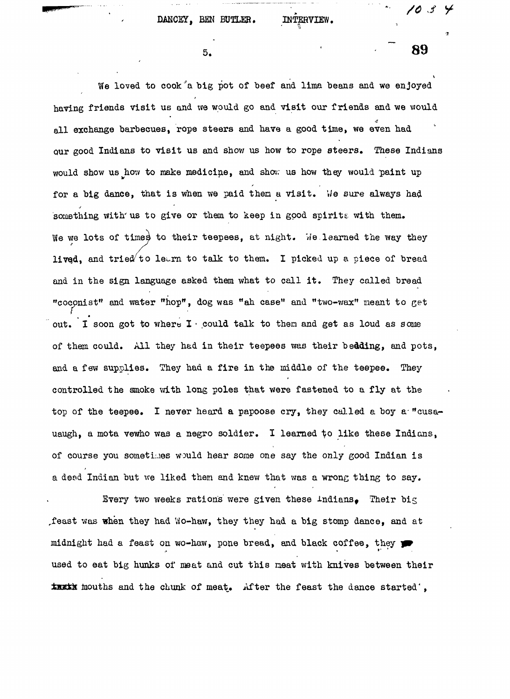$5.$ 

We loved to cook a big pot of beef and lima beans and we enjoyed having friends visit us and we would go and visit our friends and we would all exchange barbecues, rope steers and have a good time, we even had our good Indians to visit us and show us how to rope steers. These Indians would show us how to make medicine, and shov; us how they would paint up for a big dance, that is when we paid them a visit. We sure always had something with us to give or them to keep in good spirits with them. We we lots of times to their teepees, at night. We learned the way they lived, and tried to learn to talk to them. I picked up a piece of bread and in the sign language asked them what to call it. They called bread "cocpnist" and water "hop\*, dog was "ah case" and "two-wax" meant to get out. I soon got to where I • could talk to then and get as loud as some of them could. All they had in their teepees was their bedding, and pots, and a few supplies. They had a fire in the middle of the teepee. They controlled the smoke with long poles that were fastened to a fly at the top of the teepee. I never heard a papoose cry, they called a boy a-"cusauaugh, a mota vewho was a negro soldier. I learned to like these Indians, of course you sometimes would hear some one say the only good Indian is a desd Indian but we liked them and knew that was a wrong thing to say.

Every two weeks rations were given these Indians. Their big ^feast was when they had ^o-haw, they they had a big stomp dance, and at midnight had a feast on wo-haw, pone bread, and black coffee, they used to eat big hunks of meat and cut this neat with knives between their tusts mouths and the chunk of meat. After the feast the dance started',

**89**

10 S -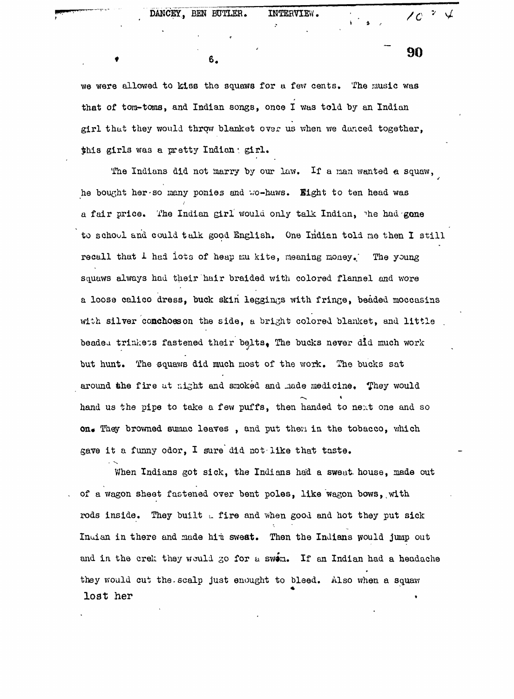• 6.

we were allowed to kiss the squaws for a few cents. The music was that of tom-toms, and Indian songs, once I was told by an Indian girl that they would throw blanket over us when we danced together, this girls was a pretty Indian ; girl.

The Indians did not marry by our law. If a man wanted a squaw, he bought her-so many ponies and vo-huws. Bight to ten head was a fair price. The Indian girl would only talk Indian, the had gone to school and could talk goad English. One Indian told me then I still recall that I had lots of heap mu kite, meaning money. The young squaws always had their hair braided with colored flannel and wore a loose calico dress, buck skiri leggings with fringe, beaded moccasins with silver conchoes on the side, a bright colored blanket, and little beaded trinkets fastened their belts. The bucks never did much work but hunt. The squaws did much most of the work. The bucks sat around the fire at night and smoked and made medicine. They would hand us the pipe to take a few puffs, then handed to next one and so on. They browned sumac leaves, and put then in the tobacco, which gave it a funny odor, I sure did not-like that taste.

When Indians got sick, the Indians had a sweat house, made out of a wagon sheet fastened over bent poles, like wagon bows, with rods inside. They built  $L$  fire and when good and hot they put sick Inuian in there and made him sweat. Then the Indians would jump out and in the crek they would go for a swim. If an Indian had a headache they would cut the scalp just enought to bleed. Also when a squaw lost her

90

' \*